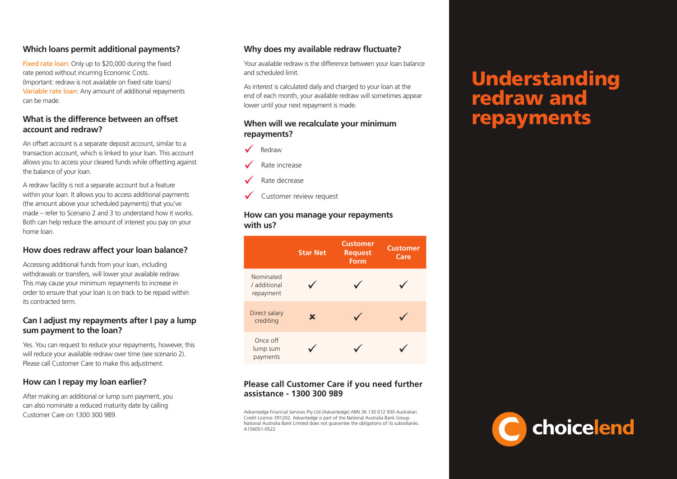## **Which loans permit additional payments?**

Fixed rate loan: Only up to \$20,000 during the fixed rate period without incurring Economic Costs. (Important: redraw is not available on fixed rate loans) Variable rate loan: Any amount of additional repayments can be made.

### **What is the difference between an offset account and redraw?**

An offset account is a separate deposit account, similar to a transaction account, which is linked to your loan. This account allows you to access your cleared funds while offsetting against the balance of your loan.

A redraw facility is not a separate account but a feature within your loan. It allows you to access additional payments (the amount above your scheduled payments) that you've made – refer to Scenario 2 and 3 to understand how it works. Both can help reduce the amount of interest you pay on your home loan.

## **How does redraw affect your loan balance?**

Accessing additional funds from your loan, including withdrawals or transfers, will lower your available redraw. This may cause your minimum repayments to increase in order to ensure that your loan is on track to be repaid within its contracted term.

### **Can I adjust my repayments after I pay a lump sum payment to the loan?**

Yes. You can request to reduce your repayments, however, this will reduce your available redraw over time (see scenario 2). Please call Customer Care to make this adjustment.

### **How can I repay my loan earlier?**

After making an additional or lump sum payment, you can also nominate a reduced maturity date by calling Customer Care on 1300 300 989.

## **Why does my available redraw fluctuate?**

Your available redraw is the difference between your loan balance and scheduled limit.

As interest is calculated daily and charged to your loan at the end of each month, your available redraw will sometimes appear lower until your next repayment is made.

### **When will we recalculate your minimum repayments?**



Rate increase

- Rate decrease
- Customer review request

#### **How can you manage your repayments with us?**

|                                        | <b>Star Net</b> | <b>Customer</b><br><b>Request</b><br>Form | <b>Customer</b><br>Care |
|----------------------------------------|-----------------|-------------------------------------------|-------------------------|
| Nominated<br>/ additional<br>repayment |                 |                                           |                         |
| Direct salary<br>crediting             | x               |                                           |                         |
| Once off<br>lump sum<br>payments       |                 |                                           |                         |

## **Please call Customer Care if you need further assistance - 1300 300 989**

Advantedge Financial Services Pty Ltd (Advantedge) ABN 36 130 012 930 Australian Credit Licence 391202. Advantedge is part of the National Australia Bank Group. National Australia Bank Limited does not guarantee the obligations of its subsidiaries. A156051-0522

# Understanding redraw and repayments